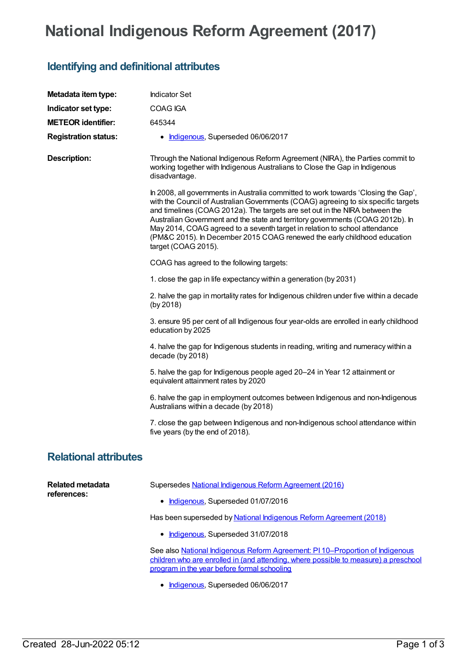## **National Indigenous Reform Agreement (2017)**

## **Identifying and definitional attributes**

| Metadata item type:             | <b>Indicator Set</b>                                                                                                                                                                                                                                                                                                                                                                                                                                                                                                       |
|---------------------------------|----------------------------------------------------------------------------------------------------------------------------------------------------------------------------------------------------------------------------------------------------------------------------------------------------------------------------------------------------------------------------------------------------------------------------------------------------------------------------------------------------------------------------|
| Indicator set type:             | COAG IGA                                                                                                                                                                                                                                                                                                                                                                                                                                                                                                                   |
| <b>METEOR identifier:</b>       | 645344                                                                                                                                                                                                                                                                                                                                                                                                                                                                                                                     |
| <b>Registration status:</b>     | • Indigenous, Superseded 06/06/2017                                                                                                                                                                                                                                                                                                                                                                                                                                                                                        |
| <b>Description:</b>             | Through the National Indigenous Reform Agreement (NIRA), the Parties commit to<br>working together with Indigenous Australians to Close the Gap in Indigenous<br>disadvantage.                                                                                                                                                                                                                                                                                                                                             |
|                                 | In 2008, all governments in Australia committed to work towards 'Closing the Gap',<br>with the Council of Australian Governments (COAG) agreeing to six specific targets<br>and timelines (COAG 2012a). The targets are set out in the NIRA between the<br>Australian Government and the state and territory governments (COAG 2012b). In<br>May 2014, COAG agreed to a seventh target in relation to school attendance<br>(PM&C 2015). In December 2015 COAG renewed the early childhood education<br>target (COAG 2015). |
|                                 | COAG has agreed to the following targets:                                                                                                                                                                                                                                                                                                                                                                                                                                                                                  |
|                                 | 1. close the gap in life expectancy within a generation (by 2031)                                                                                                                                                                                                                                                                                                                                                                                                                                                          |
|                                 | 2. halve the gap in mortality rates for Indigenous children under five within a decade<br>(by 2018)                                                                                                                                                                                                                                                                                                                                                                                                                        |
|                                 | 3. ensure 95 per cent of all Indigenous four year-olds are enrolled in early childhood<br>education by 2025                                                                                                                                                                                                                                                                                                                                                                                                                |
|                                 | 4. halve the gap for Indigenous students in reading, writing and numeracy within a<br>decade (by 2018)                                                                                                                                                                                                                                                                                                                                                                                                                     |
|                                 | 5. halve the gap for Indigenous people aged 20-24 in Year 12 attainment or<br>equivalent attainment rates by 2020                                                                                                                                                                                                                                                                                                                                                                                                          |
|                                 | 6. halve the gap in employment outcomes between Indigenous and non-Indigenous<br>Australians within a decade (by 2018)                                                                                                                                                                                                                                                                                                                                                                                                     |
|                                 | 7. close the gap between Indigenous and non-Indigenous school attendance within<br>five years (by the end of 2018).                                                                                                                                                                                                                                                                                                                                                                                                        |
| <b>Relational attributes</b>    |                                                                                                                                                                                                                                                                                                                                                                                                                                                                                                                            |
| Related metadata<br>references: | Supersedes National Indigenous Reform Agreement (2016)                                                                                                                                                                                                                                                                                                                                                                                                                                                                     |
|                                 | • Indigenous, Superseded 01/07/2016                                                                                                                                                                                                                                                                                                                                                                                                                                                                                        |
|                                 | Has been superseded by National Indigenous Reform Agreement (2018)                                                                                                                                                                                                                                                                                                                                                                                                                                                         |
|                                 | • Indigenous, Superseded 31/07/2018                                                                                                                                                                                                                                                                                                                                                                                                                                                                                        |
|                                 | See also National Indigenous Reform Agreement: PI 10-Proportion of Indigenous<br>children who are enrolled in (and attending, where possible to measure) a preschool<br>program in the year before formal schooling                                                                                                                                                                                                                                                                                                        |

• [Indigenous](https://meteor.aihw.gov.au/RegistrationAuthority/6), Superseded 06/06/2017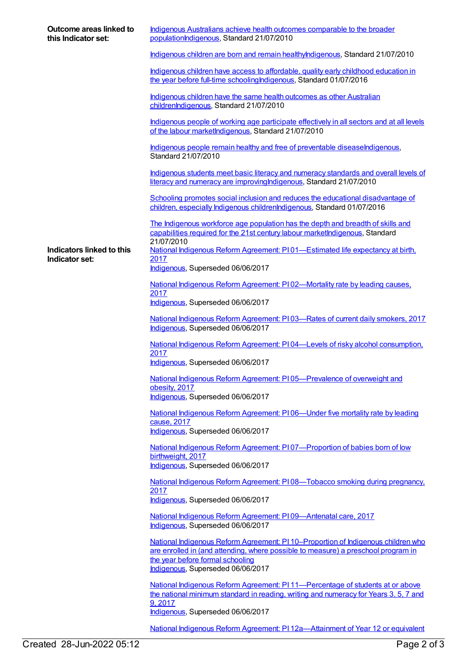| Outcome areas linked to<br>this Indicator set: | Indigenous Australians achieve health outcomes comparable to the broader<br>populationIndigenous, Standard 21/07/2010                                                                                                                           |
|------------------------------------------------|-------------------------------------------------------------------------------------------------------------------------------------------------------------------------------------------------------------------------------------------------|
|                                                | Indigenous children are born and remain healthylndigenous, Standard 21/07/2010                                                                                                                                                                  |
|                                                | Indigenous children have access to affordable, quality early childhood education in<br>the year before full-time schooling Indigenous, Standard 01/07/2016                                                                                      |
|                                                | Indigenous children have the same health outcomes as other Australian<br>childrenIndigenous, Standard 21/07/2010                                                                                                                                |
|                                                | Indigenous people of working age participate effectively in all sectors and at all levels<br>of the labour marketIndigenous, Standard 21/07/2010                                                                                                |
|                                                | Indigenous people remain healthy and free of preventable diseaseIndigenous,<br>Standard 21/07/2010                                                                                                                                              |
|                                                | Indigenous students meet basic literacy and numeracy standards and overall levels of<br>literacy and numeracy are improving Indigenous, Standard 21/07/2010                                                                                     |
|                                                | Schooling promotes social inclusion and reduces the educational disadvantage of<br>children, especially Indigenous childrenIndigenous, Standard 01/07/2016                                                                                      |
|                                                | The Indigenous workforce age population has the depth and breadth of skills and<br>capabilities required for the 21st century labour marketIndigenous, Standard                                                                                 |
| Indicators linked to this<br>Indicator set:    | 21/07/2010<br>National Indigenous Reform Agreement: P101—Estimated life expectancy at birth,<br>2017                                                                                                                                            |
|                                                | Indigenous, Superseded 06/06/2017                                                                                                                                                                                                               |
|                                                | National Indigenous Reform Agreement: PI02-Mortality rate by leading causes.<br>2017<br>Indigenous, Superseded 06/06/2017                                                                                                                       |
|                                                | National Indigenous Reform Agreement: P103-Rates of current daily smokers, 2017<br>Indigenous, Superseded 06/06/2017                                                                                                                            |
|                                                | National Indigenous Reform Agreement: P104—Levels of risky alcohol consumption,<br>2017                                                                                                                                                         |
|                                                | Indigenous, Superseded 06/06/2017                                                                                                                                                                                                               |
|                                                | National Indigenous Reform Agreement: PI05-Prevalence of overweight and<br>obesity, 2017<br>Indigenous, Superseded 06/06/2017                                                                                                                   |
|                                                | National Indigenous Reform Agreement: PI06-Under five mortality rate by leading<br>cause, 2017                                                                                                                                                  |
|                                                | Indigenous, Superseded 06/06/2017                                                                                                                                                                                                               |
|                                                | National Indigenous Reform Agreement: PI07-Proportion of babies born of low<br>birthweight, 2017<br>Indigenous, Superseded 06/06/2017                                                                                                           |
|                                                | National Indigenous Reform Agreement: P108—Tobacco smoking during pregnancy.<br>2017                                                                                                                                                            |
|                                                | Indigenous, Superseded 06/06/2017                                                                                                                                                                                                               |
|                                                | National Indigenous Reform Agreement: PI09-Antenatal care, 2017<br>Indigenous, Superseded 06/06/2017                                                                                                                                            |
|                                                | National Indigenous Reform Agreement: PI 10–Proportion of Indigenous children who<br>are enrolled in (and attending, where possible to measure) a preschool program in<br>the year before formal schooling<br>Indigenous, Superseded 06/06/2017 |
|                                                | National Indigenous Reform Agreement: PI 11—Percentage of students at or above<br>the national minimum standard in reading, writing and numeracy for Years 3, 5, 7 and<br>9,2017                                                                |
|                                                | Indigenous, Superseded 06/06/2017                                                                                                                                                                                                               |

National Indigenous Reform Agreement: PI [12a—Attainment](https://meteor.aihw.gov.au/content/645405) of Year 12 or equivalent